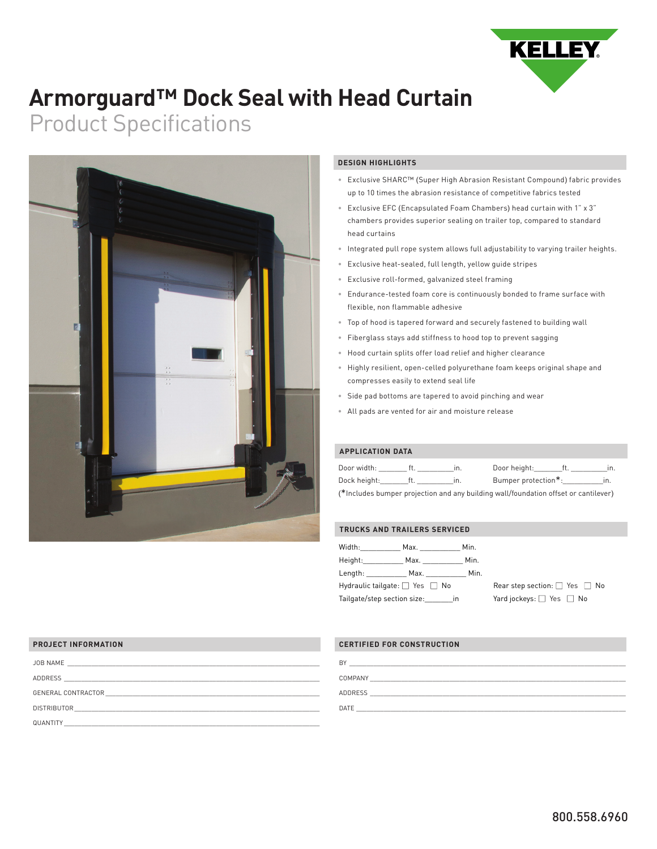

## **Armorguard™ Dock Seal with Head Curtain**

# Product Specifications



### **DESIGN HIGHLIGHTS**

- Exclusive SHARC™ (Super High Abrasion Resistant Compound) fabric provides up to 10 times the abrasion resistance of competitive fabrics tested
- Exclusive EFC (Encapsulated Foam Chambers) head curtain with 1" x 3" chambers provides superior sealing on trailer top, compared to standard head curtains
- Integrated pull rope system allows full adjustability to varying trailer heights.
- Exclusive heat-sealed, full length, yellow guide stripes
- Exclusive roll-formed, galvanized steel framing
- Endurance-tested foam core is continuously bonded to frame surface with flexible, non flammable adhesive
- Top of hood is tapered forward and securely fastened to building wall
- Fiberglass stays add stiffness to hood top to prevent sagging
- Hood curtain splits offer load relief and higher clearance
- Highly resilient, open-celled polyurethane foam keeps original shape and compresses easily to extend seal life
- Side pad bottoms are tapered to avoid pinching and wear
- All pads are vented for air and moisture release

## **APPLICATION DATA**

| Door width:                                                                         |  | In. | Door height: ft.    |  |     |
|-------------------------------------------------------------------------------------|--|-----|---------------------|--|-----|
| Dock height: ft.                                                                    |  | in. | Bumper protection*: |  | In. |
| (*Includes bumper projection and any building wall/foundation offset or cantilever) |  |     |                     |  |     |

#### **TRUCKS AND TRAILERS SERVICED**

| Width:                                   | Max. In the Maximum of the Maximum of the Second State of the Maximum of the Maximum of the Maximum of the Maximum of the Maximum of the Maximum of the Maximum of the Maximum of the Maximum of the Maximum of the Maximum of | Min.                                    |  |
|------------------------------------------|--------------------------------------------------------------------------------------------------------------------------------------------------------------------------------------------------------------------------------|-----------------------------------------|--|
| Height: <b>New York</b>                  | Max.                                                                                                                                                                                                                           | Min.                                    |  |
| Length:                                  | Max.                                                                                                                                                                                                                           | Min.                                    |  |
| Hydraulic tailgate: $\Box$ Yes $\Box$ No |                                                                                                                                                                                                                                | Rear step section: $\Box$ Yes $\Box$ No |  |
| Tailgate/step section size: in           |                                                                                                                                                                                                                                | Yard jockeys: $\Box$ Yes $\Box$ No      |  |

#### **PROJECT INFORMATION**

| JOB NAME<br>and the control of the control of the control of the control of the control of the control of the control of the                                                                                                                        | BY      |
|-----------------------------------------------------------------------------------------------------------------------------------------------------------------------------------------------------------------------------------------------------|---------|
| ADDRESS<br><u> 1989 - Johann Stoff, amerikansk politiker (* 1908)</u>                                                                                                                                                                               | COMPANY |
| GENERAL CONTRACTOR<br>the control of the control of the control of the control of the control of the control of the control of the control of the control of the control of the control of the control of the control of the control of the control | ADDRESS |
| <b>DISTRIBUTOR</b>                                                                                                                                                                                                                                  | DATE    |
| QUANTITY                                                                                                                                                                                                                                            |         |

### **CERTIFIED FOR CONSTRUCTION**

| BY             |  |
|----------------|--|
| COMPANY        |  |
| <b>ADDRESS</b> |  |
| DATE           |  |